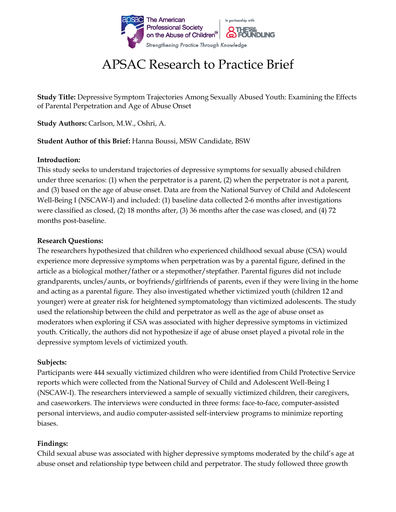

# APSAC Research to Practice Brief

**Study Title:** Depressive Symptom Trajectories Among Sexually Abused Youth: Examining the Effects of Parental Perpetration and Age of Abuse Onset

**Study Authors:** Carlson, M.W., Oshri, A.

**Student Author of this Brief:** Hanna Boussi, MSW Candidate, BSW

### **Introduction:**

This study seeks to understand trajectories of depressive symptoms for sexually abused children under three scenarios: (1) when the perpetrator is a parent, (2) when the perpetrator is not a parent, and (3) based on the age of abuse onset. Data are from the National Survey of Child and Adolescent Well-Being I (NSCAW-I) and included: (1) baseline data collected 2-6 months after investigations were classified as closed, (2) 18 months after, (3) 36 months after the case was closed, and (4) 72 months post-baseline.

### **Research Questions:**

The researchers hypothesized that children who experienced childhood sexual abuse (CSA) would experience more depressive symptoms when perpetration was by a parental figure, defined in the article as a biological mother/father or a stepmother/stepfather. Parental figures did not include grandparents, uncles/aunts, or boyfriends/girlfriends of parents, even if they were living in the home and acting as a parental figure. They also investigated whether victimized youth (children 12 and younger) were at greater risk for heightened symptomatology than victimized adolescents. The study used the relationship between the child and perpetrator as well as the age of abuse onset as moderators when exploring if CSA was associated with higher depressive symptoms in victimized youth. Critically, the authors did not hypothesize if age of abuse onset played a pivotal role in the depressive symptom levels of victimized youth.

# **Subjects:**

Participants were 444 sexually victimized children who were identified from Child Protective Service reports which were collected from the National Survey of Child and Adolescent Well-Being I (NSCAW-I). The researchers interviewed a sample of sexually victimized children, their caregivers, and caseworkers. The interviews were conducted in three forms: face-to-face, computer-assisted personal interviews, and audio computer-assisted self-interview programs to minimize reporting biases.

# **Findings:**

Child sexual abuse was associated with higher depressive symptoms moderated by the child's age at abuse onset and relationship type between child and perpetrator. The study followed three growth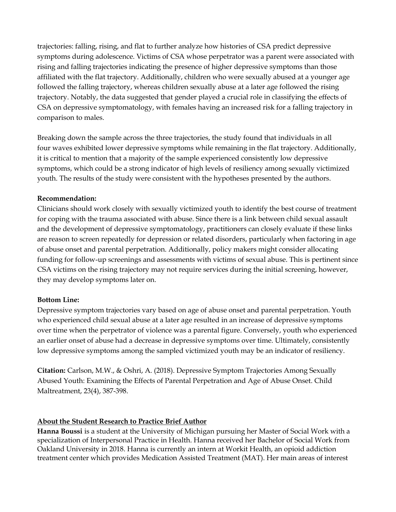trajectories: falling, rising, and flat to further analyze how histories of CSA predict depressive symptoms during adolescence. Victims of CSA whose perpetrator was a parent were associated with rising and falling trajectories indicating the presence of higher depressive symptoms than those affiliated with the flat trajectory. Additionally, children who were sexually abused at a younger age followed the falling trajectory, whereas children sexually abuse at a later age followed the rising trajectory. Notably, the data suggested that gender played a crucial role in classifying the effects of CSA on depressive symptomatology, with females having an increased risk for a falling trajectory in comparison to males.

Breaking down the sample across the three trajectories, the study found that individuals in all four waves exhibited lower depressive symptoms while remaining in the flat trajectory. Additionally, it is critical to mention that a majority of the sample experienced consistently low depressive symptoms, which could be a strong indicator of high levels of resiliency among sexually victimized youth. The results of the study were consistent with the hypotheses presented by the authors.

### **Recommendation:**

Clinicians should work closely with sexually victimized youth to identify the best course of treatment for coping with the trauma associated with abuse. Since there is a link between child sexual assault and the development of depressive symptomatology, practitioners can closely evaluate if these links are reason to screen repeatedly for depression or related disorders, particularly when factoring in age of abuse onset and parental perpetration. Additionally, policy makers might consider allocating funding for follow-up screenings and assessments with victims of sexual abuse. This is pertinent since CSA victims on the rising trajectory may not require services during the initial screening, however, they may develop symptoms later on.

# **Bottom Line:**

Depressive symptom trajectories vary based on age of abuse onset and parental perpetration. Youth who experienced child sexual abuse at a later age resulted in an increase of depressive symptoms over time when the perpetrator of violence was a parental figure. Conversely, youth who experienced an earlier onset of abuse had a decrease in depressive symptoms over time. Ultimately, consistently low depressive symptoms among the sampled victimized youth may be an indicator of resiliency.

**Citation:** Carlson, M.W., & Oshri, A. (2018). Depressive Symptom Trajectories Among Sexually Abused Youth: Examining the Effects of Parental Perpetration and Age of Abuse Onset. Child Maltreatment, 23(4), 387-398.

# **About the Student Research to Practice Brief Author**

**Hanna Boussi** is a student at the University of Michigan pursuing her Master of Social Work with a specialization of Interpersonal Practice in Health. Hanna received her Bachelor of Social Work from Oakland University in 2018. Hanna is currently an intern at Workit Health, an opioid addiction treatment center which provides Medication Assisted Treatment (MAT). Her main areas of interest